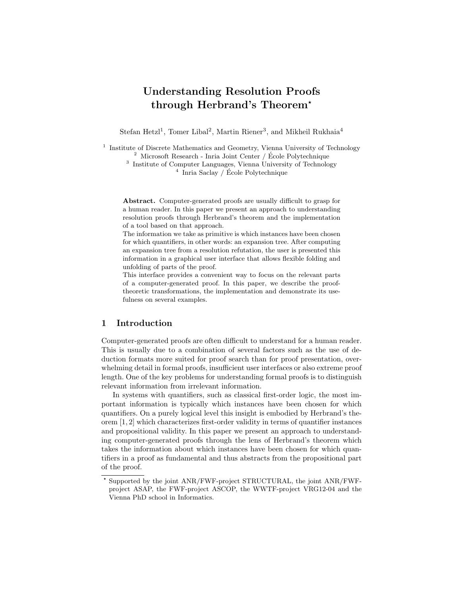# Understanding Resolution Proofs through Herbrand's Theorem‹

Stefan Hetzl<sup>1</sup>, Tomer Libal<sup>2</sup>, Martin Riener<sup>3</sup>, and Mikheil Rukhaia<sup>4</sup>

<sup>1</sup> Institute of Discrete Mathematics and Geometry, Vienna University of Technology  $^2\,$  Microsoft Research - Inria Joint Center / École Polytechnique

<sup>3</sup> Institute of Computer Languages, Vienna University of Technology <sup>4</sup> Inria Saclay / École Polytechnique

Abstract. Computer-generated proofs are usually difficult to grasp for a human reader. In this paper we present an approach to understanding resolution proofs through Herbrand's theorem and the implementation of a tool based on that approach.

The information we take as primitive is which instances have been chosen for which quantifiers, in other words: an expansion tree. After computing an expansion tree from a resolution refutation, the user is presented this information in a graphical user interface that allows flexible folding and unfolding of parts of the proof.

This interface provides a convenient way to focus on the relevant parts of a computer-generated proof. In this paper, we describe the prooftheoretic transformations, the implementation and demonstrate its usefulness on several examples.

# 1 Introduction

Computer-generated proofs are often difficult to understand for a human reader. This is usually due to a combination of several factors such as the use of deduction formats more suited for proof search than for proof presentation, overwhelming detail in formal proofs, insufficient user interfaces or also extreme proof length. One of the key problems for understanding formal proofs is to distinguish relevant information from irrelevant information.

In systems with quantifiers, such as classical first-order logic, the most important information is typically which instances have been chosen for which quantifiers. On a purely logical level this insight is embodied by Herbrand's theorem [1, 2] which characterizes first-order validity in terms of quantifier instances and propositional validity. In this paper we present an approach to understanding computer-generated proofs through the lens of Herbrand's theorem which takes the information about which instances have been chosen for which quantifiers in a proof as fundamental and thus abstracts from the propositional part of the proof.

<sup>‹</sup> Supported by the joint ANR/FWF-project STRUCTURAL, the joint ANR/FWFproject ASAP, the FWF-project ASCOP, the WWTF-project VRG12-04 and the Vienna PhD school in Informatics.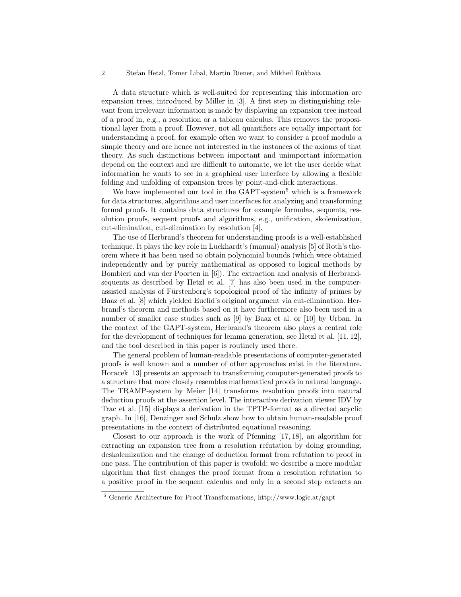A data structure which is well-suited for representing this information are expansion trees, introduced by Miller in [3]. A first step in distinguishing relevant from irrelevant information is made by displaying an expansion tree instead of a proof in, e.g., a resolution or a tableau calculus. This removes the propositional layer from a proof. However, not all quantifiers are equally important for understanding a proof, for example often we want to consider a proof modulo a simple theory and are hence not interested in the instances of the axioms of that theory. As such distinctions between important and unimportant information depend on the context and are difficult to automate, we let the user decide what information he wants to see in a graphical user interface by allowing a flexible folding and unfolding of expansion trees by point-and-click interactions.

We have implemented our tool in the GAPT-system<sup>5</sup> which is a framework for data structures, algorithms and user interfaces for analyzing and transforming formal proofs. It contains data structures for example formulas, sequents, resolution proofs, sequent proofs and algorithms, e.g., unification, skolemization, cut-elimination, cut-elimination by resolution [4].

The use of Herbrand's theorem for understanding proofs is a well-established technique. It plays the key role in Luckhardt's (manual) analysis [5] of Roth's theorem where it has been used to obtain polynomial bounds (which were obtained independently and by purely mathematical as opposed to logical methods by Bombieri and van der Poorten in [6]). The extraction and analysis of Herbrandsequents as described by Hetzl et al. [7] has also been used in the computerassisted analysis of Fürstenberg's topological proof of the infinity of primes by Baaz et al. [8] which yielded Euclid's original argument via cut-elimination. Herbrand's theorem and methods based on it have furthermore also been used in a number of smaller case studies such as [9] by Baaz et al. or [10] by Urban. In the context of the GAPT-system, Herbrand's theorem also plays a central role for the development of techniques for lemma generation, see Hetzl et al. [11, 12], and the tool described in this paper is routinely used there.

The general problem of human-readable presentations of computer-generated proofs is well known and a number of other approaches exist in the literature. Horacek [13] presents an approach to transforming computer-generated proofs to a structure that more closely resembles mathematical proofs in natural language. The TRAMP-system by Meier [14] transforms resolution proofs into natural deduction proofs at the assertion level. The interactive derivation viewer IDV by Trac et al. [15] displays a derivation in the TPTP-format as a directed acyclic graph. In [16], Denzinger and Schulz show how to obtain human-readable proof presentations in the context of distributed equational reasoning.

Closest to our approach is the work of Pfenning [17, 18], an algorithm for extracting an expansion tree from a resolution refutation by doing grounding, deskolemization and the change of deduction format from refutation to proof in one pass. The contribution of this paper is twofold: we describe a more modular algorithm that first changes the proof format from a resolution refutation to a positive proof in the sequent calculus and only in a second step extracts an

 $5$  Generic Architecture for Proof Transformations, http://www.logic.at/gapt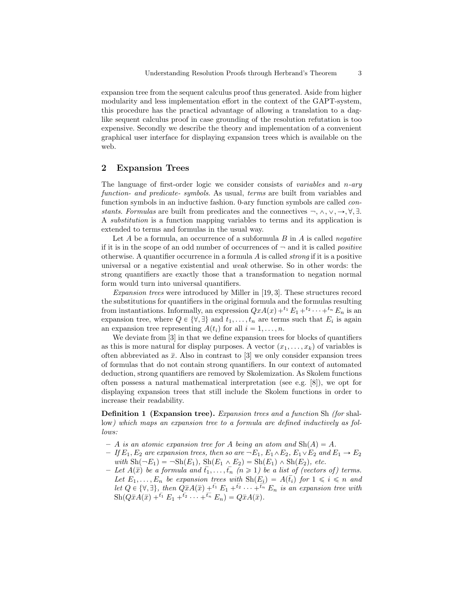expansion tree from the sequent calculus proof thus generated. Aside from higher modularity and less implementation effort in the context of the GAPT-system, this procedure has the practical advantage of allowing a translation to a daglike sequent calculus proof in case grounding of the resolution refutation is too expensive. Secondly we describe the theory and implementation of a convenient graphical user interface for displaying expansion trees which is available on the web.

# 2 Expansion Trees

The language of first-order logic we consider consists of *variables* and  $n$ -ary function- and predicate- symbols. As usual, terms are built from variables and function symbols in an inductive fashion. 0-ary function symbols are called constants. Formulas are built from predicates and the connectives  $\neg, \wedge, \vee, \rightarrow, \forall, \exists$ . A substitution is a function mapping variables to terms and its application is extended to terms and formulas in the usual way.

Let A be a formula, an occurrence of a subformula B in A is called *negative* if it is in the scope of an odd number of occurrences of  $\neg$  and it is called *positive* otherwise. A quantifier occurrence in a formula  $A$  is called *strong* if it is a positive universal or a negative existential and weak otherwise. So in other words: the strong quantifiers are exactly those that a transformation to negation normal form would turn into universal quantifiers.

Expansion trees were introduced by Miller in [19, 3]. These structures record the substitutions for quantifiers in the original formula and the formulas resulting from instantiations. Informally, an expression  $QxA(x) +^{t_1}E_1 +^{t_2} \cdots +^{t_n}E_n$  is an expansion tree, where  $Q \in \{\forall, \exists\}$  and  $t_1, \ldots, t_n$  are terms such that  $E_i$  is again an expansion tree representing  $A(t_i)$  for all  $i = 1, \ldots, n$ .

We deviate from [3] in that we define expansion trees for blocks of quantifiers as this is more natural for display purposes. A vector  $(x_1, \ldots, x_k)$  of variables is often abbreviated as  $\bar{x}$ . Also in contrast to [3] we only consider expansion trees of formulas that do not contain strong quantifiers. In our context of automated deduction, strong quantifiers are removed by Skolemization. As Skolem functions often possess a natural mathematical interpretation (see e.g. [8]), we opt for displaying expansion trees that still include the Skolem functions in order to increase their readability.

Definition 1 (Expansion tree). Expansion trees and a function Sh (for shallow) which maps an expansion tree to a formula are defined inductively as follows:

- A is an atomic expansion tree for A being an atom and  $\text{Sh}(A) = A$ .
- If  $E_1, E_2$  are expansion trees, then so are  $\neg E_1, E_1 \wedge E_2, E_1 \vee E_2$  and  $E_1 \rightarrow E_2$ with  $\text{Sh}(\neg E_1) = \neg \text{Sh}(E_1)$ ,  $\text{Sh}(E_1 \wedge E_2) = \text{Sh}(E_1) \wedge \text{Sh}(E_2)$ , etc.
- Let  $A(\bar{x})$  be a formula and  $\bar{t}_1, \ldots, \bar{t}_n$   $(n \geq 1)$  be a list of (vectors of) terms. Let  $E_1, \ldots, E_n$  be expansion trees with  $\text{Sh}(E_i) = A(\bar{t}_i)$  for  $1 \leq i \leq n$  and let  $Q \in \{\forall, \exists\}$ , then  $Q\overline{x}A(\overline{x}) +^{t_1}E_1 +^{t_2} \cdots +^{t_n}E_n$  is an expansion tree with  $\overline{\text{Sh}(Q\bar{x}A(\bar{x}) + ^{\bar{t}_1}E_1 + ^{\bar{t}_2} \cdots + ^{\bar{t}_n}E_n)} = Q\bar{x}A(\bar{x}).$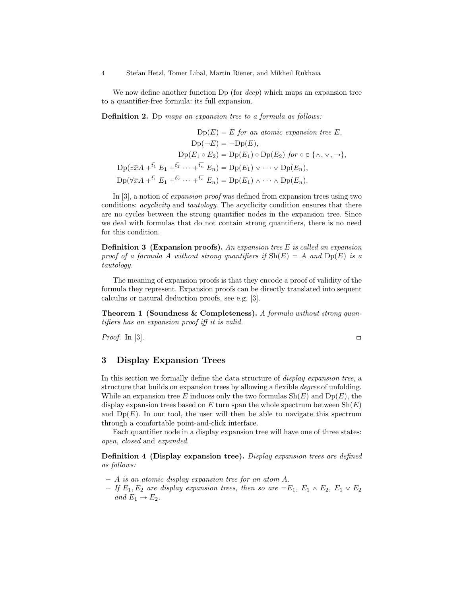We now define another function Dp (for *deep*) which maps an expansion tree to a quantifier-free formula: its full expansion.

Definition 2. Dp maps an expansion tree to a formula as follows:

$$
Dp(E) = E \text{ for an atomic expansion tree } E,
$$
  
\n
$$
Dp(-E) = -Dp(E),
$$
  
\n
$$
Dp(E_1 \circ E_2) = Dp(E_1) \circ Dp(E_2) \text{ for } \circ \in \{\wedge, \vee, \to\},
$$
  
\n
$$
Dp(\exists \overline{x}A + \overline{t_1} E_1 + \overline{t_2} \cdots + \overline{t_n} E_n) = Dp(E_1) \vee \cdots \vee Dp(E_n),
$$
  
\n
$$
Dp(\forall \overline{x}A + \overline{t_1} E_1 + \overline{t_2} \cdots + \overline{t_n} E_n) = Dp(E_1) \wedge \cdots \wedge Dp(E_n).
$$

In [3], a notion of expansion proof was defined from expansion trees using two conditions: *acyclicity* and *tautology*. The acyclicity condition ensures that there are no cycles between the strong quantifier nodes in the expansion tree. Since we deal with formulas that do not contain strong quantifiers, there is no need for this condition.

**Definition 3 (Expansion proofs).** An expansion tree  $E$  is called an expansion proof of a formula A without strong quantifiers if  $\text{Sh}(E) = A$  and  $\text{Dp}(E)$  is a tautology.

The meaning of expansion proofs is that they encode a proof of validity of the formula they represent. Expansion proofs can be directly translated into sequent calculus or natural deduction proofs, see e.g. [3].

Theorem 1 (Soundness & Completeness). A formula without strong quantifiers has an expansion proof iff it is valid.

*Proof.* In [3].  $\Box$ 

# 3 Display Expansion Trees

In this section we formally define the data structure of display expansion tree, a structure that builds on expansion trees by allowing a flexible *degree* of unfolding. While an expansion tree E induces only the two formulas  $\text{Sh}(E)$  and  $\text{Dp}(E)$ , the display expansion trees based on E turn span the whole spectrum between  $\text{Sh}(E)$ and  $Dp(E)$ . In our tool, the user will then be able to navigate this spectrum through a comfortable point-and-click interface.

Each quantifier node in a display expansion tree will have one of three states: open, closed and expanded.

Definition 4 (Display expansion tree). Display expansion trees are defined as follows:

- A is an atomic display expansion tree for an atom A.
- If  $E_1, E_2$  are display expansion trees, then so are  $\neg E_1$ ,  $E_1 \wedge E_2$ ,  $E_1 \vee E_2$ and  $E_1 \rightarrow E_2$ .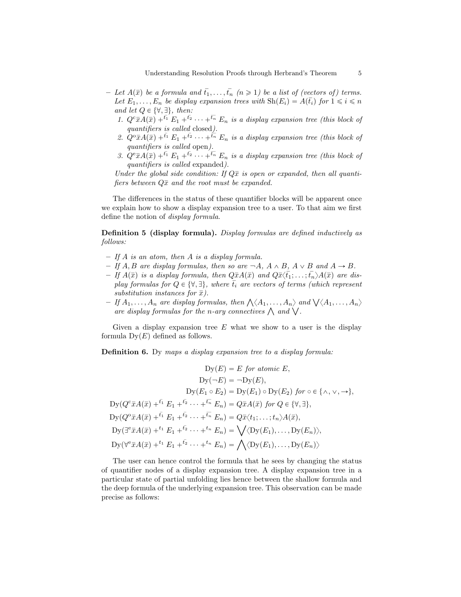- Let  $A(\bar{x})$  be a formula and  $\bar{t}_1, \ldots, \bar{t}_n$   $(n \geq 1)$  be a list of (vectors of) terms. Let  $E_1, \ldots, E_n$  be display expansion trees with  $\text{Sh}(E_i) = A(\bar{t}_i)$  for  $1 \leq i \leq n$ and let  $Q \in \{\forall, \exists\}$ , then:
	- 1.  $Q^c \bar{x} A(\bar{x}) + \bar{t}_1 \bar{t}_2 + \bar{t}_2 \cdots + \bar{t}_n E_n$  is a display expansion tree (this block of quantifiers is called closed).
	- 2.  $Q^{\circ} \bar{x} A(\bar{x}) + \bar{t}_1 E_1 + \bar{t}_2 \cdots + \bar{t}_n E_n$  is a display expansion tree (this block of quantifiers is called open).
	- 3.  $Q^e \overline{x} A(\overline{x}) +^{\overline{t}_1} E_1 +^{\overline{t}_2} \cdots +^{\overline{t}_n} E_n$  is a display expansion tree (this block of quantifiers is called expanded).

Under the global side condition: If  $Q\bar{x}$  is open or expanded, then all quantifiers between  $Q\bar{x}$  and the root must be expanded.

The differences in the status of these quantifier blocks will be apparent once we explain how to show a display expansion tree to a user. To that aim we first define the notion of display formula.

Definition 5 (display formula). Display formulas are defined inductively as follows:

- If A is an atom, then A is a display formula.
- If A, B are display formulas, then so are  $\neg A$ ,  $A \wedge B$ ,  $A \vee B$  and  $A \rightarrow B$ .
- If  $A(\bar{x})$  is a display formula, then  $Q\bar{x}A(\bar{x})$  and  $Q\bar{x}\langle\bar{t}_1;\ldots;\bar{t}_n\rangle A(\bar{x})$  are display formulas for  $Q \in \{\forall, \exists\}$ , where  $\bar{t}_i$  are vectors of terms (which represent substitution instances for  $\bar{x}$ ).
- substitution instances for x).<br>  $-If A_1, \ldots, A_n$  are display formulas, then  $\bigwedge \langle A_1, \ldots, A_n \rangle$  and  $\bigvee \langle A_1, \ldots, A_n \rangle$ If  $A_1, \ldots, A_n$  are display formulas, then  $\wedge \langle A_1, \ldots, A_n \rangle$  are display formulas for the n-ary connectives  $\wedge$  and  $\vee$ .

Given a display expansion tree  $E$  what we show to a user is the display formula  $Dy(E)$  defined as follows.

Definition 6. Dy maps a display expansion tree to a display formula:

 $Dy(E) = E$  for atomic E,  $Dy(\neg E) = \neg Dy(E),$  $\text{Dy}(E_1 \circ E_2) = \text{Dy}(E_1) \circ \text{Dy}(E_2)$  for  $\circ \in \{\land, \lor, \to\},$  $\mathrm{Dy}(Q^c\bar{x}A(\bar{x}) +^{\bar{t_1}}E_1 +^{\bar{t_2}} \cdots +^{\bar{t_n}}E_n) = Q\bar{x}A(\bar{x}) \text{ for } Q \in \{\forall, \exists\},\$  $\mathrm{Dy}(Q^{\mathrm{o}}\bar{x}A(\bar{x})+\bar{t_1}E_1+\bar{t_2}\cdots+\bar{t_n}E_n)=Q\bar{x}\langle t_1;\ldots;t_n\rangle A(\bar{x}),$  $D_y(\exists^e \bar{x}A(\bar{x}) + t_1 E_1 + t_2 \cdots + t_n E_n) = \sqrt{\langle D_y(E_1), \ldots, D_y(E_n) \rangle},$  $Dy(\forall^e \bar{x}A(\bar{x}) + t_1 E_1 + t_2 \cdots + t_n E_n) = \bigwedge \langle Dy(E_1), \ldots, Dy(E_n) \rangle$ 

The user can hence control the formula that he sees by changing the status of quantifier nodes of a display expansion tree. A display expansion tree in a particular state of partial unfolding lies hence between the shallow formula and the deep formula of the underlying expansion tree. This observation can be made precise as follows: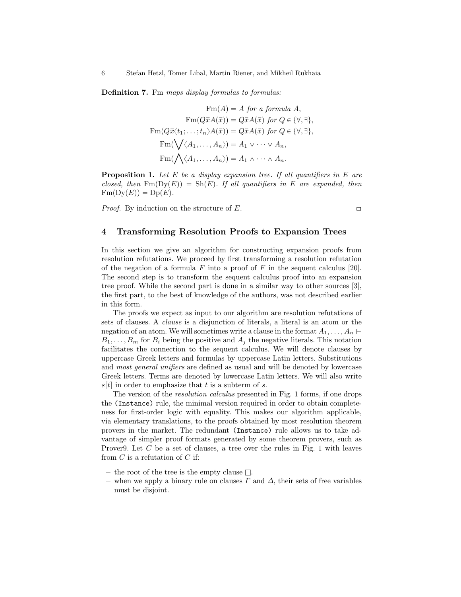Definition 7. Fm maps display formulas to formulas:

$$
\operatorname{Fm}(A) = A \text{ for a formula } A,
$$

$$
\operatorname{Fm}(Q\overline{x}A(\overline{x})) = Q\overline{x}A(\overline{x}) \text{ for } Q \in \{\forall, \exists\},
$$

$$
\operatorname{Fm}(Q\overline{x}\langle t_1; \dots; t_n \rangle A(\overline{x})) = Q\overline{x}A(\overline{x}) \text{ for } Q \in \{\forall, \exists\},
$$

$$
\operatorname{Fm}(\sqrt{\langle A_1, \dots, A_n \rangle}) = A_1 \vee \dots \vee A_n,
$$

$$
\operatorname{Fm}(\sqrt{\langle A_1, \dots, A_n \rangle}) = A_1 \wedge \dots \wedge A_n.
$$

**Proposition 1.** Let E be a display expansion tree. If all quantifiers in E are closed, then  $\text{Fm}(\text{Dy}(E)) = \text{Sh}(E)$ . If all quantifiers in E are expanded, then  $\text{Fm}(\text{Dy}(E)) = \text{Dp}(E)$ .

*Proof.* By induction on the structure of E.

# 4 Transforming Resolution Proofs to Expansion Trees

In this section we give an algorithm for constructing expansion proofs from resolution refutations. We proceed by first transforming a resolution refutation of the negation of a formula F into a proof of F in the sequent calculus [20]. The second step is to transform the sequent calculus proof into an expansion tree proof. While the second part is done in a similar way to other sources [3], the first part, to the best of knowledge of the authors, was not described earlier in this form.

The proofs we expect as input to our algorithm are resolution refutations of sets of clauses. A clause is a disjunction of literals, a literal is an atom or the negation of an atom. We will sometimes write a clause in the format  $A_1, \ldots, A_n \vdash$  $B_1, \ldots, B_m$  for  $B_i$  being the positive and  $A_i$  the negative literals. This notation facilitates the connection to the sequent calculus. We will denote clauses by uppercase Greek letters and formulas by uppercase Latin letters. Substitutions and most general unifiers are defined as usual and will be denoted by lowercase Greek letters. Terms are denoted by lowercase Latin letters. We will also write  $s[t]$  in order to emphasize that t is a subterm of s.

The version of the *resolution calculus* presented in Fig. 1 forms, if one drops the (Instance) rule, the minimal version required in order to obtain completeness for first-order logic with equality. This makes our algorithm applicable, via elementary translations, to the proofs obtained by most resolution theorem provers in the market. The redundant (Instance) rule allows us to take advantage of simpler proof formats generated by some theorem provers, such as Prover9. Let C be a set of clauses, a tree over the rules in Fig. 1 with leaves from  $C$  is a refutation of  $C$  if:

- the root of the tree is the empty clause  $\Box$ .
- when we apply a binary rule on clauses  $\Gamma$  and  $\Delta$ , their sets of free variables must be disjoint.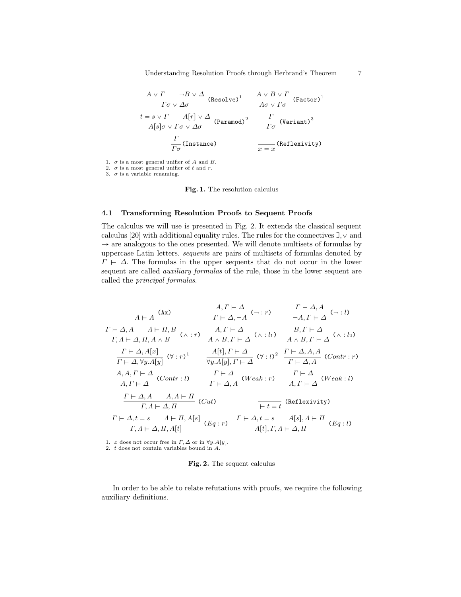Understanding Resolution Proofs through Herbrand's Theorem 7

$$
\frac{A \vee \Gamma \quad \neg B \vee \Delta}{\Gamma \sigma \vee \Delta \sigma} \text{ (Resolve)}^1 \qquad \frac{A \vee B \vee \Gamma}{A \sigma \vee \Gamma \sigma} \text{ (Factor)}^1
$$
\n
$$
\frac{t = s \vee \Gamma \quad A[r] \vee \Delta}{A[s] \sigma \vee \Gamma \sigma \vee \Delta \sigma} \text{ (Paramod)}^2 \qquad \frac{\Gamma}{\Gamma \sigma} \text{ (Variant)}^3
$$
\n
$$
\frac{\Gamma}{\Gamma \sigma} \text{ (Instance)} \qquad \frac{\Gamma}{x = x} \text{ (Reflexivity)}
$$

1.  $\sigma$  is a most general unifier of A and B.

2.  $\sigma$  is a most general unifier of t and r.

3.  $\sigma$  is a variable renaming.

### Fig. 1. The resolution calculus

#### 4.1 Transforming Resolution Proofs to Sequent Proofs

The calculus we will use is presented in Fig. 2. It extends the classical sequent calculus [20] with additional equality rules. The rules for the connectives  $\exists$ ,  $\vee$  and  $\rightarrow$  are analogous to the ones presented. We will denote multisets of formulas by uppercase Latin letters. sequents are pairs of multisets of formulas denoted by  $\Gamma \vdash \Delta$ . The formulas in the upper sequents that do not occur in the lower sequent are called *auxiliary formulas* of the rule, those in the lower sequent are called the principal formulas.

$$
\frac{A}{A \vdash A} \text{ (Ax)} \qquad \frac{A, \Gamma \vdash \Delta}{\Gamma \vdash \Delta, \neg A} \text{ } (\neg : r) \qquad \frac{\Gamma \vdash \Delta, A}{\neg A, \Gamma \vdash \Delta} \text{ } (\neg : l)
$$
\n
$$
\frac{\Gamma \vdash \Delta, A \qquad A \vdash \Pi, B}{\Gamma, A \vdash \Delta, \Pi, A \land B} \text{ } (\land : r) \qquad \frac{A, \Gamma \vdash \Delta}{A \land B, \Gamma \vdash \Delta} \text{ } (\land : l_1) \qquad \frac{B, \Gamma \vdash \Delta}{A \land B, \Gamma \vdash \Delta} \text{ } (\land : l_2)
$$
\n
$$
\frac{\Gamma \vdash \Delta, A[x]}{\Gamma \vdash \Delta, \forall y. A[y]} \text{ } (\forall : r)^1 \qquad \frac{A[t], \Gamma \vdash \Delta}{\forall y. A[y], \Gamma \vdash \Delta} \text{ } (\forall : l)^2 \qquad \frac{\Gamma \vdash \Delta, A, A}{\Gamma \vdash \Delta, A} \text{ } (Contr : r)
$$
\n
$$
\frac{A, A, \Gamma \vdash \Delta}{A, \Gamma \vdash \Delta} \text{ } (Contr : l) \qquad \frac{\Gamma \vdash \Delta}{\Gamma \vdash \Delta, A} \text{ } (Weak : r) \qquad \frac{\Gamma \vdash \Delta}{A, \Gamma \vdash \Delta} \text{ } (Weak : l)
$$
\n
$$
\frac{\Gamma \vdash \Delta, A \qquad A, A \vdash \Pi}{\Gamma, A \vdash \Delta, \Pi} \text{ } (Cut) \qquad \frac{\Gamma \vdash \Delta, t = s \qquad A[s], A \vdash \Pi}{\Gamma \vdash t = t} \text{ } (Reflexivity)
$$
\n
$$
\frac{\Gamma \vdash \Delta, t = s \qquad A \vdash \Pi, A[s]}{\Gamma, A \vdash \Delta, \Pi, A[t]} \text{ } (Eq : r) \qquad \frac{\Gamma \vdash \Delta, t = s \qquad A[s], A \vdash \Pi}{A[t], \Gamma, A \vdash \Delta, \Pi} \text{ } (Eq : l)
$$

1. x does not occur free in  $\Gamma$ ,  $\Delta$  or in  $\forall y.A[y]$ .

2. t does not contain variables bound in A.

#### Fig. 2. The sequent calculus

In order to be able to relate refutations with proofs, we require the following auxiliary definitions.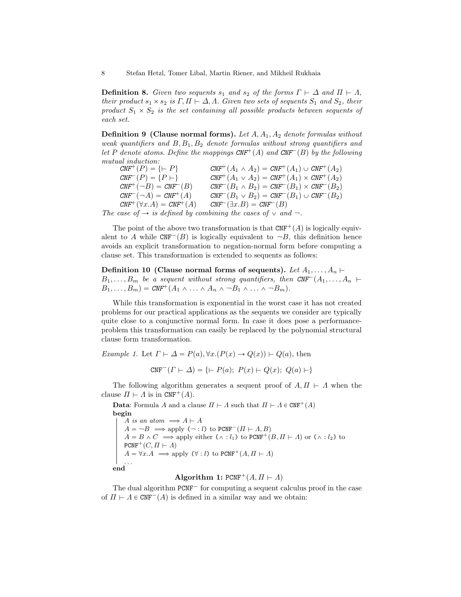**Definition 8.** Given two sequents  $s_1$  and  $s_2$  of the forms  $\Gamma \vdash \Delta$  and  $\Pi \vdash \Lambda$ , their product  $s_1 \times s_2$  is  $\Gamma, \Pi \vdash \Delta, \Lambda$ . Given two sets of sequents  $S_1$  and  $S_2$ , their product  $S_1 \times S_2$  is the set containing all possible products between sequents of each set.

**Definition 9 (Clause normal forms).** Let  $A, A_1, A_2$  denote formulas without weak quantifiers and  $B, B_1, B_2$  denote formulas without strong quantifiers and let P denote atoms. Define the mappings  $\mathsf{CNF}^+(A)$  and  $\mathsf{CNF}^-(B)$  by the following

mutual induction:<br> $C\!N\!F^+(P) = \{ \vdash P \}$  $CNF^+(P) = \{P\}$   $CNF^+(A_1 \wedge A_2) = CNF^+(A_1) \cup CNF^+(A_2)$ <br>  $CNF^-(P) = \{P\}$   $CNF^+(A_1 \vee A_2) = CNF^+(A_1) \times CNF^+(A_2)$  $C\!N\!F^-(P) = \{P \vdash\}$ <br>  $C\!N\!F^+(A_1 \vee A_2) = C\!N\!F^+(A_1) \times C\!N\!F^+(A_2)$ <br>  $C\!N\!F^+(B) = C\!N\!F^-(B_1 \wedge B_2) = C\!N\!F^-(B_1) \times C\!N\!F^-(B_2)$  $C\mathit{NF}^+(-B) = C\mathit{NF}^-(B)$   $C\mathit{NF}^-(B_1 \wedge B_2) = C\mathit{NF}^-(B_1) \times C\mathit{NF}^-(B_2)$ <br>  $C\mathit{NF}^-(\neg A) = C\mathit{NF}^+(A)$   $C\mathit{NF}^-(B_1 \vee B_2) = C\mathit{NF}^-(B_1) \cup C\mathit{NF}^-(B_2)$  $CNF^{-}(B_1 \vee B_2) = CNF^{-}(B_1) \cup CNF^{-}(B_2)$  $CNF^+(\forall x.A) = CNF^+(A)$   $CNF^-(\exists x.B) = CNF^-(B)$ 

The case of  $\rightarrow$  is defined by combining the cases of  $\vee$  and  $\neg$ .

The point of the above two transformation is that  $\text{CNF}^+(A)$  is logically equivalent to A while  $CNF^{-}(B)$  is logically equivalent to  $\neg B$ , this definition hence avoids an explicit transformation to negation-normal form before computing a clause set. This transformation is extended to sequents as follows:

Definition 10 (Clause normal forms of sequents). Let  $A_1, \ldots, A_n \vdash$  $B_1, \ldots, B_m$  be a sequent without strong quantifiers, then  $\mathsf{CNF}^-(A_1, \ldots, A_n \vdash b_n)$  $B_1, \ldots, B_m$  =  $\mathcal{C\!N\!F}^+(A_1 \wedge \ldots \wedge A_n \wedge \neg B_1 \wedge \ldots \wedge \neg B_m).$ 

While this transformation is exponential in the worst case it has not created problems for our practical applications as the sequents we consider are typically quite close to a conjunctive normal form. In case it does pose a performanceproblem this transformation can easily be replaced by the polynomial structural clause form transformation.

Example 1. Let  $\Gamma \vdash \Delta = P(a), \forall x.(P(x) \rightarrow Q(x)) \vdash Q(a)$ , then

 $CNF^{-}( \Gamma \vdash \Delta ) = \{ \vdash P(a); P(x) \vdash Q(x); Q(a) \vdash \}$ 

The following algorithm generates a sequent proof of  $A, \Pi \vdash A$  when the clause  $\Pi \vdash A$  is in CNF<sup>+</sup>(A).

**Data:** Formula A and a clause  $\Pi \vdash A$  such that  $\Pi \vdash A \in \text{CNF}^+(A)$ begin A is an atom  $\implies$  A  $\vdash$  A  $A = \neg B \implies \text{apply } (\neg : l) \text{ to } \text{PCNF}^-(\Pi \vdash A, B)$  $A = B \wedge C \implies$  apply either  $(\wedge : l_1)$  to PCNF<sup>+</sup> $(B, \Pi \vdash A)$  or  $(\wedge : l_2)$  to  $PCNF^+(C, H \vdash A)$  $A = \forall x.A \implies \text{apply } (\forall : l) \text{ to } \text{PCNF}^+(A, \Pi \vdash A)$ . . . end

# Algorithm 1:  $PCNF^+(A, \Pi \vdash \Lambda)$

The dual algorithm  $PCNF<sup>-</sup>$  for computing a sequent calculus proof in the case of  $\Pi \vdash A \in \text{CNF}^{-}(A)$  is defined in a similar way and we obtain: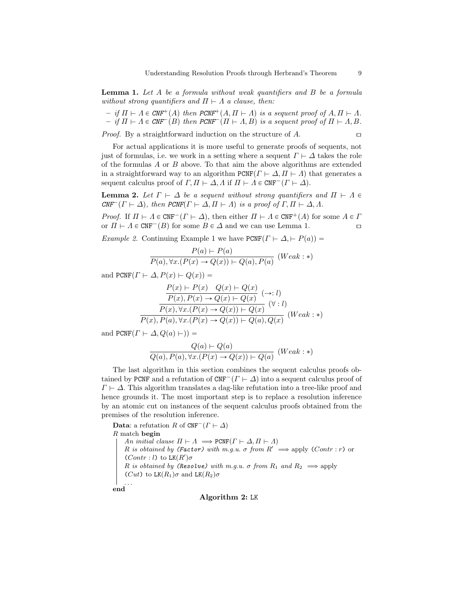**Lemma 1.** Let  $A$  be a formula without weak quantifiers and  $B$  be a formula without strong quantifiers and  $\Pi \vdash \Lambda$  a clause, then:

- if 
$$
\Pi \vdash \Lambda \in \text{CNF}^+(A)
$$
 then  $\text{PCNF}^+(A, \Pi \vdash \Lambda)$  is a sequent proof of  $A, \Pi \vdash \Lambda$ .  
- if  $\Pi \vdash \Lambda \in \text{CNF}^-(B)$  then  $\text{PCNF}^-(\Pi \vdash \Lambda, B)$  is a sequent proof of  $\Pi \vdash \Lambda, B$ .

*Proof.* By a straightforward induction on the structure of A.  $\Box$ 

For actual applications it is more useful to generate proofs of sequents, not just of formulas, i.e. we work in a setting where a sequent  $\Gamma \vdash \Delta$  takes the role of the formulas A or B above. To that aim the above algorithms are extended in a straightforward way to an algorithm  $PCNF(\Gamma \vdash \Delta, \Pi \vdash \Lambda)$  that generates a sequent calculus proof of  $\Gamma, \Pi \vdash \Delta, \Lambda$  if  $\Pi \vdash \Lambda \in \text{CNF}^-(\Gamma \vdash \Delta)$ .

**Lemma 2.** Let  $\Gamma \vdash \Delta$  be a sequent without strong quantifiers and  $\Pi \vdash \Lambda \in$  $CNF^{-}( \Gamma \vdash \Delta), \text{ then } PCNF(\Gamma \vdash \Delta, \Pi \vdash \Lambda) \text{ is a proof of } \Gamma, \Pi \vdash \Delta, \Lambda.$ 

*Proof.* If  $\Pi \vdash A \in \text{CNF}^-(\Gamma \vdash \Delta)$ , then either  $\Pi \vdash A \in \text{CNF}^+(A)$  for some  $A \in \Gamma$ or  $\Pi \vdash A \in \text{CNF}^-(B)$  for some  $B \in \Delta$  and we can use Lemma 1.

*Example 2.* Continuing Example 1 we have  $PCNF(\Gamma \vdash \Delta, \vdash P(a)) =$ 

$$
\frac{P(a) \vdash P(a)}{P(a), \forall x. (P(x) \rightarrow Q(x)) \vdash Q(a), P(a)} \ (Weak:*)
$$

and  $PCNF(\Gamma \vdash \Delta, P(x) \vdash Q(x)) =$ 

$$
\frac{P(x) \vdash P(x) \quad Q(x) \vdash Q(x)}{P(x), P(x) \rightarrow Q(x) \vdash Q(x)} \quad (\rightarrow : l)
$$
\n
$$
\frac{P(x), \forall x. (P(x) \rightarrow Q(x)) \vdash Q(x)}{P(x), P(a), \forall x. (P(x) \rightarrow Q(x)) \vdash Q(a), Q(x)} \quad (Weak:*)
$$

and  $PCNF(\Gamma \vdash \Delta, Q(a) \vdash)) =$ 

$$
\frac{Q(a) \vdash Q(a)}{Q(a), P(a), \forall x. (P(x) \rightarrow Q(x)) \vdash Q(a)} \ (Weak:*)
$$

The last algorithm in this section combines the sequent calculus proofs obtained by PCNF and a refutation of  $CNF^{-}(F \nightharpoonup \Delta)$  into a sequent calculus proof of  $\Gamma \vdash \Delta$ . This algorithm translates a dag-like refutation into a tree-like proof and hence grounds it. The most important step is to replace a resolution inference by an atomic cut on instances of the sequent calculus proofs obtained from the premises of the resolution inference.

**Data:** a refutation R of  $CNF^{-}(F \nightharpoonup \Delta)$ R match begin An initial clause  $\Pi \vdash \Lambda \implies \text{PCNF}(F \vdash \Delta, \Pi \vdash \Lambda)$ R is obtained by (Factor) with m.g.u.  $\sigma$  from  $R' \implies \text{apply (Contr : r) or}$  $(Contr: l)$  to  $LK(R')\sigma$ R is obtained by (Resolve) with m.g.u. σ from  $R_1$  and  $R_2 \implies$  apply (Cut) to LK( $R_1$ ) $\sigma$  and LK( $R_2$ ) $\sigma$ . . . end

Algorithm 2: LK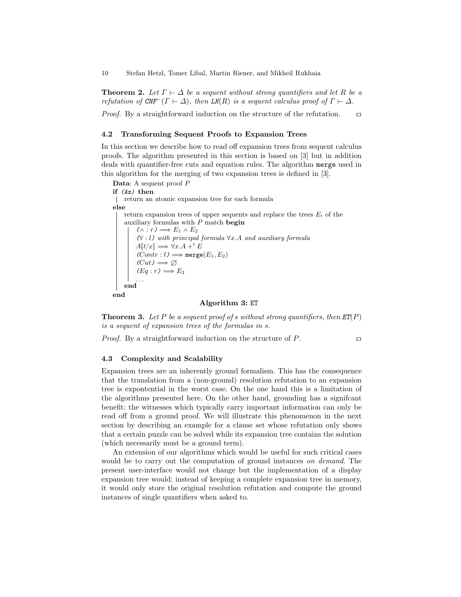**Theorem 2.** Let  $\Gamma \vdash \Delta$  be a sequent without strong quantifiers and let R be a refutation of  $\text{CNF}^{-}( \Gamma \vdash \Delta)$ , then LK(R) is a sequent calculus proof of  $\Gamma \vdash \Delta$ .

*Proof.* By a straightforward induction on the structure of the refutation.  $\Box$ 

#### 4.2 Transforming Sequent Proofs to Expansion Trees

In this section we describe how to read off expansion trees from sequent calculus proofs. The algorithm presented in this section is based on [3] but in addition deals with quantifier-free cuts and equation rules. The algorithm merge used in this algorithm for the merging of two expansion trees is defined in [3].

Data: A sequent proof P if  $(Ax)$  then return an atomic expansion tree for each formula else return expansion trees of upper sequents and replace the trees  $E_i$  of the auxiliary formulas with  $P$  match begin  $(\wedge : r) \Longrightarrow E_1 \wedge E_2$  $(\forall : l)$  with principal formula  $\forall x.A$  and auxiliary formula  $A[t/x] \Longrightarrow \forall x.A + ^t E$  $(Contr: l) \Longrightarrow \mathtt{merge}(E_1, E_2)$  $(Cut) \Longrightarrow \varnothing$  $(Eq : r) \Longrightarrow E_2$ . . . end end

# Algorithm 3: ET

**Theorem 3.** Let P be a sequent proof of s without strong quantifiers, then  $ET(P)$ is a sequent of expansion trees of the formulas in s.

*Proof.* By a straightforward induction on the structure of P.  $\Box$ 

# 4.3 Complexity and Scalability

Expansion trees are an inherently ground formalism. This has the consequence that the translation from a (non-ground) resolution refutation to an expansion tree is expontential in the worst case. On the one hand this is a limitation of the algorithms presented here. On the other hand, grounding has a signifcant benefit: the witnesses which typically carry important information can only be read off from a ground proof. We will illustrate this phenomenon in the next section by describing an example for a clause set whose refutation only shows that a certain puzzle can be solved while its expansion tree contains the solution (which necessarily must be a ground term).

An extension of our algorithms which would be useful for such critical cases would be to carry out the computation of ground instances on demand. The present user-interface would not change but the implementation of a display expansion tree would: instead of keeping a complete expansion tree in memory, it would only store the original resolution refutation and compute the ground instances of single quantifiers when asked to.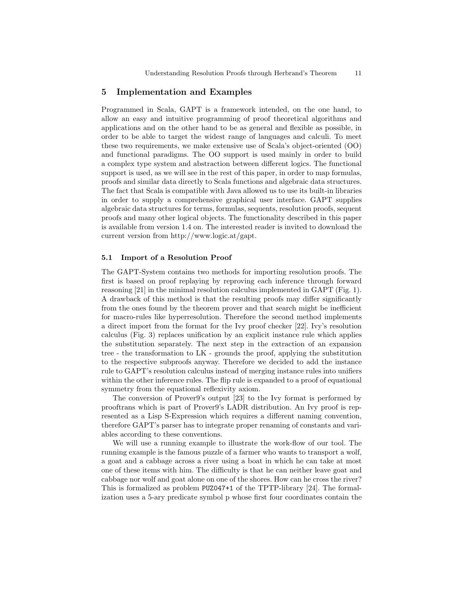# 5 Implementation and Examples

Programmed in Scala, GAPT is a framework intended, on the one hand, to allow an easy and intuitive programming of proof theoretical algorithms and applications and on the other hand to be as general and flexible as possible, in order to be able to target the widest range of languages and calculi. To meet these two requirements, we make extensive use of Scala's object-oriented (OO) and functional paradigms. The OO support is used mainly in order to build a complex type system and abstraction between different logics. The functional support is used, as we will see in the rest of this paper, in order to map formulas, proofs and similar data directly to Scala functions and algebraic data structures. The fact that Scala is compatible with Java allowed us to use its built-in libraries in order to supply a comprehensive graphical user interface. GAPT supplies algebraic data structures for terms, formulas, sequents, resolution proofs, sequent proofs and many other logical objects. The functionality described in this paper is available from version 1.4 on. The interested reader is invited to download the current version from http://www.logic.at/gapt.

### 5.1 Import of a Resolution Proof

The GAPT-System contains two methods for importing resolution proofs. The first is based on proof replaying by reproving each inference through forward reasoning [21] in the minimal resolution calculus implemented in GAPT (Fig. 1). A drawback of this method is that the resulting proofs may differ significantly from the ones found by the theorem prover and that search might be inefficient for macro-rules like hyperresolution. Therefore the second method implements a direct import from the format for the Ivy proof checker [22]. Ivy's resolution calculus (Fig. 3) replaces unification by an explicit instance rule which applies the substitution separately. The next step in the extraction of an expansion tree - the transformation to LK - grounds the proof, applying the substitution to the respective subproofs anyway. Therefore we decided to add the instance rule to GAPT's resolution calculus instead of merging instance rules into unifiers within the other inference rules. The flip rule is expanded to a proof of equational symmetry from the equational reflexivity axiom.

The conversion of Prover9's output [23] to the Ivy format is performed by prooftrans which is part of Prover9's LADR distribution. An Ivy proof is represented as a Lisp S-Expression which requires a different naming convention, therefore GAPT's parser has to integrate proper renaming of constants and variables according to these conventions.

We will use a running example to illustrate the work-flow of our tool. The running example is the famous puzzle of a farmer who wants to transport a wolf, a goat and a cabbage across a river using a boat in which he can take at most one of these items with him. The difficulty is that he can neither leave goat and cabbage nor wolf and goat alone on one of the shores. How can he cross the river? This is formalized as problem PUZ047+1 of the TPTP-library [24]. The formalization uses a 5-ary predicate symbol p whose first four coordinates contain the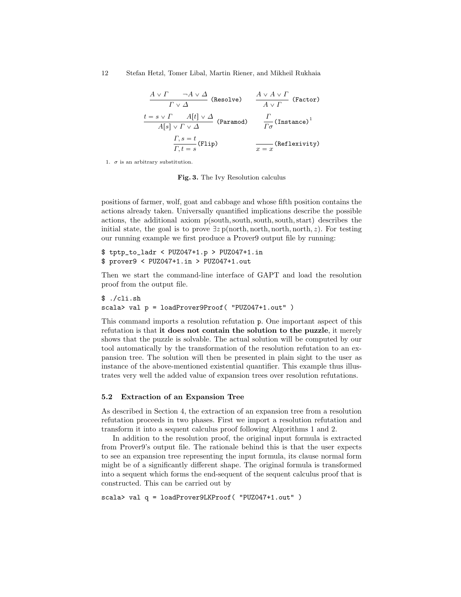$$
\frac{A \vee \Gamma \quad \neg A \vee \Delta}{\Gamma \vee \Delta} \text{ (Resolve)} \qquad \frac{A \vee A \vee \Gamma}{A \vee \Gamma} \text{ (Factor)}
$$
\n
$$
\frac{t = s \vee \Gamma \quad A[t] \vee \Delta}{A[s] \vee \Gamma \vee \Delta} \text{ (Paramod)} \qquad \frac{\Gamma}{\Gamma \sigma} \text{ (Instance)}^1
$$
\n
$$
\frac{\Gamma, s = t}{\Gamma, t = s} \text{ (Flip)} \qquad \frac{\Gamma}{x = x} \text{ (Reflexivity)}
$$

1.  $\sigma$  is an arbitrary substitution.

Fig. 3. The Ivy Resolution calculus

positions of farmer, wolf, goat and cabbage and whose fifth position contains the actions already taken. Universally quantified implications describe the possible actions, the additional axiom  $p(south, south, south, south, start)$  describes the initial state, the goal is to prove  $\exists z \, p(\text{north}, \text{north}, \text{north}, \text{north}, z)$ . For testing our running example we first produce a Prover9 output file by running:

```
$ tptp_to_ladr < PUZ047+1.p > PUZ047+1.in
$ prover9 < PUZ047+1.in > PUZ047+1.out
```
Then we start the command-line interface of GAPT and load the resolution proof from the output file.

```
$ ./cli.sh
scala> val p = loadProver9Proof( "PUZ047+1.out" )
```
This command imports a resolution refutation p. One important aspect of this refutation is that it does not contain the solution to the puzzle, it merely shows that the puzzle is solvable. The actual solution will be computed by our tool automatically by the transformation of the resolution refutation to an expansion tree. The solution will then be presented in plain sight to the user as instance of the above-mentioned existential quantifier. This example thus illustrates very well the added value of expansion trees over resolution refutations.

## 5.2 Extraction of an Expansion Tree

As described in Section 4, the extraction of an expansion tree from a resolution refutation proceeds in two phases. First we import a resolution refutation and transform it into a sequent calculus proof following Algorithms 1 and 2.

In addition to the resolution proof, the original input formula is extracted from Prover9's output file. The rationale behind this is that the user expects to see an expansion tree representing the input formula, its clause normal form might be of a significantly different shape. The original formula is transformed into a sequent which forms the end-sequent of the sequent calculus proof that is constructed. This can be carried out by

```
scala> val q = loadProver9LKProof( "PUZ047+1.out" )
```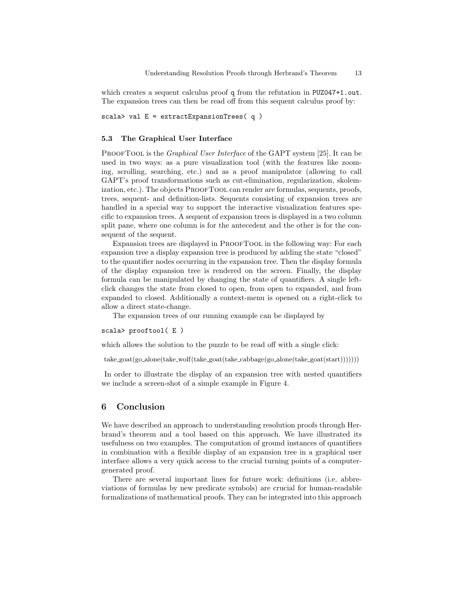which creates a sequent calculus proof q from the refutation in PUZ047+1.out. The expansion trees can then be read off from this sequent calculus proof by:

scala> val E = extractExpansionTrees( q )

### 5.3 The Graphical User Interface

PROOFTOOL is the *Graphical User Interface* of the GAPT system [25]. It can be used in two ways: as a pure visualization tool (with the features like zooming, scrolling, searching, etc.) and as a proof manipulator (allowing to call GAPT's proof transformations such as cut-elimination, regularization, skolemization, etc.). The objects PROOFTOOL can render are formulas, sequents, proofs, trees, sequent- and definition-lists. Sequents consisting of expansion trees are handled in a special way to support the interactive visualization features specific to expansion trees. A sequent of expansion trees is displayed in a two column split pane, where one column is for the antecedent and the other is for the consequent of the sequent.

Expansion trees are displayed in PROOFTOOL in the following way: For each expansion tree a display expansion tree is produced by adding the state "closed" to the quantifier nodes occurring in the expansion tree. Then the display formula of the display expansion tree is rendered on the screen. Finally, the display formula can be manipulated by changing the state of quantifiers. A single leftclick changes the state from closed to open, from open to expanded, and from expanded to closed. Additionally a context-menu is opened on a right-click to allow a direct state-change.

The expansion trees of our running example can be displayed by

```
scala> prooftool( E )
```
which allows the solution to the puzzle to be read off with a single click:

 $take\_goat(go\_alone(take\_wolf(take\_goat(take\_cabbage(go\_alone(take\_goat(stat)))))))$ 

In order to illustrate the display of an expansion tree with nested quantifiers we include a screen-shot of a simple example in Figure 4.

# 6 Conclusion

We have described an approach to understanding resolution proofs through Herbrand's theorem and a tool based on this approach. We have illustrated its usefulness on two examples. The computation of ground instances of quantifiers in combination with a flexible display of an expansion tree in a graphical user interface allows a very quick access to the crucial turning points of a computergenerated proof.

There are several important lines for future work: definitions (i.e. abbreviations of formulas by new predicate symbols) are crucial for human-readable formalizations of mathematical proofs. They can be integrated into this approach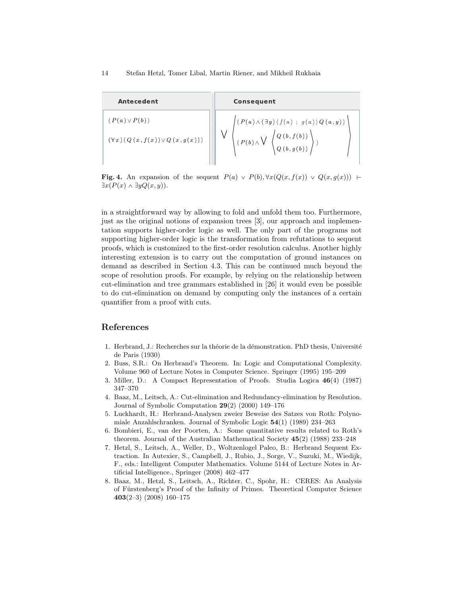| <b>Antecedent</b>                        | Consequent                                                                              |
|------------------------------------------|-----------------------------------------------------------------------------------------|
| $(P(a) \vee P(b))$                       | $\left(\left(P(a) \wedge (\exists y) \langle f(a) ; g(a) \rangle Q(a, y)\right)\right)$ |
| $(\forall x)(Q(x, f(x))\vee Q(x, g(x)))$ | $(P(b) \wedge \bigvee \begin{pmatrix} Q(b,f(b)) \ Q(b,g(b)) \end{pmatrix}$              |

Fig. 4. An expansion of the sequent  $P(a) \vee P(b), \forall x(Q(x, f(x)) \vee Q(x, g(x)))$   $\vdash$  $\exists x (P(x) \land \exists y Q(x, y)).$ 

in a straightforward way by allowing to fold and unfold them too. Furthermore, just as the original notions of expansion trees [3], our approach and implementation supports higher-order logic as well. The only part of the programs not supporting higher-order logic is the transformation from refutations to sequent proofs, which is customized to the first-order resolution calculus. Another highly interesting extension is to carry out the computation of ground instances on demand as described in Section 4.3. This can be continued much beyond the scope of resolution proofs. For example, by relying on the relationship between cut-elimination and tree grammars established in [26] it would even be possible to do cut-elimination on demand by computing only the instances of a certain quantifier from a proof with cuts.

# References

- 1. Herbrand, J.: Recherches sur la théorie de la démonstration. PhD thesis, Université de Paris (1930)
- 2. Buss, S.R.: On Herbrand's Theorem. In: Logic and Computational Complexity. Volume 960 of Lecture Notes in Computer Science. Springer (1995) 195–209
- 3. Miller, D.: A Compact Representation of Proofs. Studia Logica 46(4) (1987) 347–370
- 4. Baaz, M., Leitsch, A.: Cut-elimination and Redundancy-elimination by Resolution. Journal of Symbolic Computation 29(2) (2000) 149–176
- 5. Luckhardt, H.: Herbrand-Analysen zweier Beweise des Satzes von Roth: Polynomiale Anzahlschranken. Journal of Symbolic Logic 54(1) (1989) 234–263
- 6. Bombieri, E., van der Poorten, A.: Some quantitative results related to Roth's theorem. Journal of the Australian Mathematical Society 45(2) (1988) 233–248
- 7. Hetzl, S., Leitsch, A., Weller, D., Woltzenlogel Paleo, B.: Herbrand Sequent Extraction. In Autexier, S., Campbell, J., Rubio, J., Sorge, V., Suzuki, M., Wiedijk, F., eds.: Intelligent Computer Mathematics. Volume 5144 of Lecture Notes in Artificial Intelligence., Springer (2008) 462–477
- 8. Baaz, M., Hetzl, S., Leitsch, A., Richter, C., Spohr, H.: CERES: An Analysis of Fürstenberg's Proof of the Infinity of Primes. Theoretical Computer Science 403(2–3) (2008) 160–175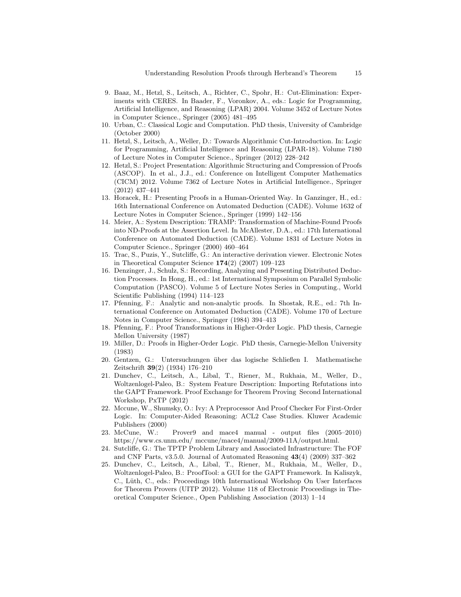- 9. Baaz, M., Hetzl, S., Leitsch, A., Richter, C., Spohr, H.: Cut-Elimination: Experiments with CERES. In Baader, F., Voronkov, A., eds.: Logic for Programming, Artificial Intelligence, and Reasoning (LPAR) 2004. Volume 3452 of Lecture Notes in Computer Science., Springer (2005) 481–495
- 10. Urban, C.: Classical Logic and Computation. PhD thesis, University of Cambridge (October 2000)
- 11. Hetzl, S., Leitsch, A., Weller, D.: Towards Algorithmic Cut-Introduction. In: Logic for Programming, Artificial Intelligence and Reasoning (LPAR-18). Volume 7180 of Lecture Notes in Computer Science., Springer (2012) 228–242
- 12. Hetzl, S.: Project Presentation: Algorithmic Structuring and Compression of Proofs (ASCOP). In et al., J.J., ed.: Conference on Intelligent Computer Mathematics (CICM) 2012. Volume 7362 of Lecture Notes in Artificial Intelligence., Springer (2012) 437–441
- 13. Horacek, H.: Presenting Proofs in a Human-Oriented Way. In Ganzinger, H., ed.: 16th International Conference on Automated Deduction (CADE). Volume 1632 of Lecture Notes in Computer Science., Springer (1999) 142–156
- 14. Meier, A.: System Description: TRAMP: Transformation of Machine-Found Proofs into ND-Proofs at the Assertion Level. In McAllester, D.A., ed.: 17th International Conference on Automated Deduction (CADE). Volume 1831 of Lecture Notes in Computer Science., Springer (2000) 460–464
- 15. Trac, S., Puzis, Y., Sutcliffe, G.: An interactive derivation viewer. Electronic Notes in Theoretical Computer Science 174(2) (2007) 109–123
- 16. Denzinger, J., Schulz, S.: Recording, Analyzing and Presenting Distributed Deduction Processes. In Hong, H., ed.: 1st International Symposium on Parallel Symbolic Computation (PASCO). Volume 5 of Lecture Notes Series in Computing., World Scientific Publishing (1994) 114–123
- 17. Pfenning, F.: Analytic and non-analytic proofs. In Shostak, R.E., ed.: 7th International Conference on Automated Deduction (CADE). Volume 170 of Lecture Notes in Computer Science., Springer (1984) 394–413
- 18. Pfenning, F.: Proof Transformations in Higher-Order Logic. PhD thesis, Carnegie Mellon University (1987)
- 19. Miller, D.: Proofs in Higher-Order Logic. PhD thesis, Carnegie-Mellon University (1983)
- 20. Gentzen, G.: Untersuchungen ¨uber das logische Schließen I. Mathematische Zeitschrift 39(2) (1934) 176–210
- 21. Dunchev, C., Leitsch, A., Libal, T., Riener, M., Rukhaia, M., Weller, D., Woltzenlogel-Paleo, B.: System Feature Description: Importing Refutations into the GAPT Framework. Proof Exchange for Theorem Proving Second International Workshop, PxTP (2012)
- 22. Mccune, W., Shumsky, O.: Ivy: A Preprocessor And Proof Checker For First-Order Logic. In: Computer-Aided Reasoning: ACL2 Case Studies. Kluwer Academic Publishers (2000)
- 23. McCune, W.: Prover9 and mace4 manual output files (2005–2010) https://www.cs.unm.edu/ mccune/mace4/manual/2009-11A/output.html.
- 24. Sutcliffe, G.: The TPTP Problem Library and Associated Infrastructure: The FOF and CNF Parts, v3.5.0. Journal of Automated Reasoning 43(4) (2009) 337–362
- 25. Dunchev, C., Leitsch, A., Libal, T., Riener, M., Rukhaia, M., Weller, D., Woltzenlogel-Paleo, B.: ProofTool: a GUI for the GAPT Framework. In Kaliszyk, C., Lüth, C., eds.: Proceedings 10th International Workshop On User Interfaces for Theorem Provers (UITP 2012). Volume 118 of Electronic Proceedings in Theoretical Computer Science., Open Publishing Association (2013) 1–14